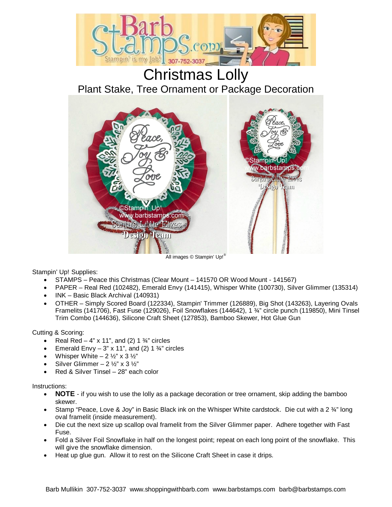

Stampin' Up! Supplies:

- STAMPS Peace this Christmas (Clear Mount 141570 OR Wood Mount 141567)
- PAPER Real Red (102482), Emerald Envy (141415), Whisper White (100730), Silver Glimmer (135314)
- INK Basic Black Archival (140931)
- OTHER Simply Scored Board (122334), Stampin' Trimmer (126889), Big Shot (143263), Layering Ovals Framelits (141706), Fast Fuse (129026), Foil Snowflakes (144642), 1 ¾" circle punch (119850), Mini Tinsel Trim Combo (144636), Silicone Craft Sheet (127853), Bamboo Skewer, Hot Glue Gun

Cutting & Scoring:

- Real Red 4" x 11", and (2) 1  $\frac{3}{4}$ " circles
- Emerald Envy 3" x 11", and (2) 1  $\frac{3}{4}$ " circles
- Whisper White  $-2 \frac{1}{2}$ " x 3  $\frac{1}{2}$ "
- Silver Glimmer 2  $\frac{1}{2}$ " x 3  $\frac{1}{2}$ "
- Red & Silver Tinsel 28" each color

Instructions:

- **NOTE**  if you wish to use the lolly as a package decoration or tree ornament, skip adding the bamboo skewer.
- Stamp "Peace, Love & Joy" in Basic Black ink on the Whisper White cardstock. Die cut with a 2  $\frac{3}{4}$ " long oval framelit (inside measurement).
- Die cut the next size up scallop oval framelit from the Silver Glimmer paper. Adhere together with Fast Fuse.
- Fold a Silver Foil Snowflake in half on the longest point; repeat on each long point of the snowflake. This will give the snowflake dimension.
- Heat up glue gun. Allow it to rest on the Silicone Craft Sheet in case it drips.